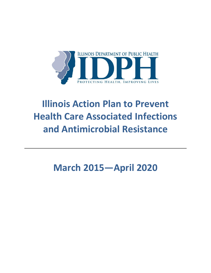

# **Illinois Action Plan to Prevent Health Care Associated Infections and Antimicrobial Resistance**

**March 2015—April 2020**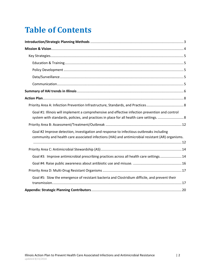# **Table of Contents**

| Goal #1: Illinois will implement a comprehensive and effective infection prevention and control<br>system with standards, policies, and practices in place for all health care settings.  8  |  |
|----------------------------------------------------------------------------------------------------------------------------------------------------------------------------------------------|--|
|                                                                                                                                                                                              |  |
| Goal #2 Improve detection, investigation and response to infectious outbreaks including<br>community and health care associated infections (HAI) and antimicrobial resistant (AR) organisms. |  |
|                                                                                                                                                                                              |  |
| Goal #3: Improve antimicrobial prescribing practices across all health care settings 14                                                                                                      |  |
|                                                                                                                                                                                              |  |
|                                                                                                                                                                                              |  |
| Goal #5: Slow the emergence of resistant bacteria and Clostridium difficile, and prevent their                                                                                               |  |
|                                                                                                                                                                                              |  |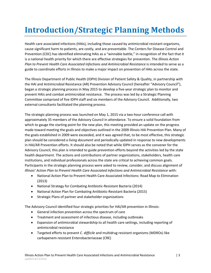# <span id="page-2-0"></span>**Introduction/Strategic Planning Methods**

Health care associated infections (HAIs), including those caused by antimicrobial resistant organisms, cause significant harm to patients, are costly, and are preventable. The Centers for Disease Control and Prevention (CDC) has identified eliminating HAIs as a "winnable battle," in recognition of the fact that it is a national health priority for which there are effective strategies for prevention. The *Illinois Action Plan to Prevent Health Care Associated Infections and Antimicrobial Resistance* is intended to serve as a guide to coordinate efforts in Illinois to make a major impact on prevention of HAIs across the state.

The Illinois Department of Public Health (IDPH) Division of Patient Safety & Quality, in partnership with the HAI and Antimicrobial Resistance (AR) Prevention Advisory Council (hereafter "Advisory Council"), began a strategic planning process in May 2015 to develop a five-year strategic plan to monitor and prevent HAIs and combat antimicrobial resistance. The process was led by a Strategic Planning Committee comprised of five IDPH staff and six members of the Advisory Council. Additionally, two external consultants facilitated the planning process.

The strategic planning process was launched on May 1, 2015 via a two-hour conference call with approximately 35 members of the Advisory Council in attendance. To ensure a solid foundation from which to gauge the starting point for the new plan, this meeting provided an update on the progress made toward meeting the goals and objectives outlined in the 2009 Illinois HAI Prevention Plan. Many of the goals established in 2009 were exceeded, and it was agreed that, to be most effective, this strategic plan should be considered a *living document* and periodically updated in response to new developments in HAI/AR Prevention efforts. It should also be noted that while IDPH serves as the convener for the Advisory Council, this plan is intended to guide prevention efforts beyond the activities led by the state health department. The actions and contributions of partner organizations, stakeholders, health care institutions, and individual professionals across the state are critical to achieving common goals. Participants in the strategic planning process were asked to review, consider, and discuss alignment of *Illinois' Action Plan to Prevent Health Care Associated Infections and Antimicrobial Resistance* with:

- National Action Plan to Prevent Health Care-Associated Infections: Road Map to Elimination (2013)
- National Strategy for Combating Antibiotic-Resistant Bacteria (2014)
- National Action Plan for Combating Antibiotic-Resistant Bacteria (2015)
- **•** Strategic Plans of partner and stakeholder organizations

The Advisory Council identified four strategic priorities for HAI/AR prevention in Illinois:

- General infection prevention across the spectrum of care
- Treatment and assessment of infectious disease, including outbreaks
- Expansion of antimicrobial stewardship to all health care settings, including reporting of antimicrobial resistance
- Targeted efforts to prevent *C. difficile* and multidrug resistant organisms (MDROs) like carbapenem-resistant Enterobacteriaceae (CRE)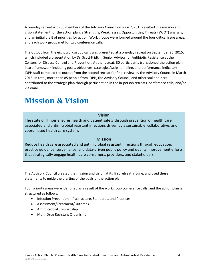A one-day retreat with 50 members of the Advisory Council on June 2, 2015 resulted in a mission and vision statement for the action plan; a Strengths, Weaknesses, Opportunities, Threats (SWOT) analysis; and an initial draft of priorities for action. Work groups were formed around the four critical issue areas, and each work group met for two conference calls.

The output from the eight work group calls was presented at a one-day retreat on September 25, 2015, which included a presentation by Dr. Scott Fridkin, Senior Advisor for Antibiotic Resistance at the Centers for Disease Control and Prevention. At the retreat, 30 participants transitioned the action plan into a framework including goals, objectives, strategies/tasks, timeline, and performance indicators. IDPH staff compiled the output from the second retreat for final review by the Advisory Council in March 2015. In total, more than 85 people from IDPH, the Advisory Council, and other stakeholders contributed to the strategic plan through participation in the in-person retreats, conference calls, and/or via email.

# <span id="page-3-0"></span>**Mission & Vision**

### **Vision**

The state of Illinois ensures health and patient safety through prevention of health care associated and antimicrobial resistant infections driven by a sustainable, collaborative, and coordinated health care system.

### **Mission**

Reduce health care associated and antimicrobial resistant infections through education, practice guidance, surveillance, and data-driven public policy and quality improvement efforts that strategically engage health care consumers, providers, and stakeholders.

The Advisory Council created the mission and vision at its first retreat in June, and used these statements to guide the drafting of the goals of the action plan.

Four priority areas were identified as a result of the workgroup conference calls, and the action plan is structured as follows:

- Infection Prevention Infrastructure, Standards, and Practices
- Assessment/Treatment/Outbreak
- Antimicrobial Stewardship
- Multi-Drug Resistant Organisms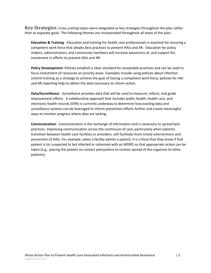<span id="page-4-0"></span>**Key Strategies**: Cross-cutting topics were integrated as key strategies throughout the plan rather than as separate goals. The following themes are incorporated throughout all areas of the plan:

<span id="page-4-1"></span>**Education & Training**: Education and training for health care professionals is essential for ensuring a competent work force that adopts best practices to prevent HAIs and AR. Education for policy makers, administrators, and community members will increase awareness of, and support for, investment in efforts to prevent HAIs and AR.

<span id="page-4-2"></span>**Policy Development:** Policies establish a clear standard for acceptable practices and can be used to focus investment of resources on priority areas. Examples include using policies about infection control training as a strategy to achieve the goal of having a competent work force; policies for HAI and AR reporting help to obtain the data necessary to inform action.

<span id="page-4-3"></span>**Data/Surveillance**: Surveillance provides data that will be used to measure, inform, and guide improvement efforts. A collaborative approach that includes public health, health care, and electronic health records (EHR) is currently underway to determine how existing data and surveillance systems can be leveraged to inform prevention efforts further and create meaningful ways to monitor progress where data are lacking.

<span id="page-4-4"></span>**Communication**: Communication is the exchange of information and is necessary to spread best practices. Improving communication across the continuum of care, particularly when patients transition between health care facilities or providers, will facilitate more timely interventions and prevention of HAIs. For example, when a facility admits a patient, it is critical that they know if that patient is (or suspected to be) infected or colonized with an MDRO so that appropriate action can be taken (e.g., placing the patient on contact precautions to contain spread of the organism to other patients).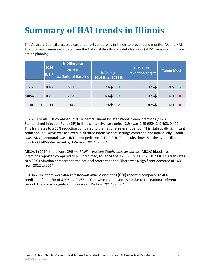# <span id="page-5-0"></span>**Summary of HAI trends in Illinois**

The Advisory Council discussed current efforts underway in Illinois to prevent and monitor AR and HAIs. The following summary of data from the National Healthcare Safety Network (NHSN) was used to guide action planning:

|               | 2014<br><b>IL SIR</b> | % Difference<br>2014 IL<br>vs. National Baseline | % Change<br>2014 IL vs. 2012 IL |                           | <b>HHS 2013</b><br><b>Prevention Target</b> | <b>Target Met?</b> |                           |
|---------------|-----------------------|--------------------------------------------------|---------------------------------|---------------------------|---------------------------------------------|--------------------|---------------------------|
| <b>CLABSI</b> | 0.45                  | $55\% \downarrow$                                | $17\%$ $\downarrow$             | $\star$                   | $50\%$                                      | <b>YES</b>         | $\star$                   |
| <b>MRSA</b>   | 0.71                  | 29%↓                                             | $16\% \downarrow$               | ★                         | $50\% \downarrow$                           | <b>NO</b>          | $\mathbf x$               |
| C. DIFFICILE  | 1.00                  | $0\%$ $\downarrow$                               | 7%个                             | $\boldsymbol{\mathsf{x}}$ | $30\%$ $\downarrow$                         | NΟ                 | $\boldsymbol{\mathsf{x}}$ |

CLABSI: For all ICUs combined in 2014, central line-associated bloodstream infections (CLABSI) Standardized Infection Ratio (SIR) in Illinois intensive care units (ICUs) was 0.45 (95% CI 0.403, 0.499). This translates to a 55% reduction compared to the national referent period. This statistically significant reduction in CLABSIs was achieved in all three intensive care settings combined and individually – adult ICUs (AICU), neonatal ICUs (NICU), and pediatric ICUs (PICU). The results show that the overall Illinois SIRs for CLABSIs decreased by 17% from 2012 to 2014.

MRSA: In 2014, there were 296 *methicillin-resistant Staphylococcus aureus* (MRSA) bloodstream infections reported compared to 419 predicted, for an SIR of 0.706 (95% CI 0.629, 0.790). This translates to a 29% reduction compared to the national referent period. There was a significant decrease of 16% from 2012 to 2014.

CDI: In 2014, there were 4640 *Clostridium difficile infections* (CDI) reported compared to 4661 predicted, for an SIR of 0.995 (CI 0.967, 1.024), which is statistically similar to the national referent period. There was a significant increase of 7% from 2012 to 2014.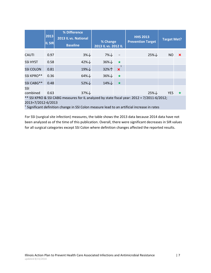|                                                                                             | 2013<br><b>IL SIR</b> | % Difference<br>2013 IL vs. National<br><b>Baseline</b> | % Change<br>2013 IL vs. 2012 IL |                           | <b>HHS 2013</b><br><b>Prevention Target</b> | <b>Target Met?</b> |                           |
|---------------------------------------------------------------------------------------------|-----------------------|---------------------------------------------------------|---------------------------------|---------------------------|---------------------------------------------|--------------------|---------------------------|
| <b>CAUTI</b>                                                                                | 0.97                  | $3\%$                                                   | $7\%$                           | $\equiv$                  | $25\% \downarrow$                           | <b>NO</b>          | $\boldsymbol{\mathsf{x}}$ |
| <b>SSI HYST</b>                                                                             | 0.58                  | $42\%$                                                  | $36\%$                          | $\star$                   |                                             |                    |                           |
| <b>SSI COLON</b>                                                                            | 0.81                  | 19%↓                                                    | 32%个                            | $\boldsymbol{\mathsf{x}}$ |                                             |                    |                           |
| SSI KPRO**                                                                                  | 0.36                  | $64\%$                                                  | 36%↓                            | $\star$                   |                                             |                    |                           |
| SSI CABG**                                                                                  | 0.48                  | $52\% \downarrow$                                       | 14%↓                            | $\star$                   |                                             |                    |                           |
| SSI<br>combined                                                                             | 0.63                  | $37\%$                                                  |                                 |                           | $25\% \downarrow$                           | <b>YES</b>         | $\star$                   |
| ** SSI KPRO & SSI CABG measures for IL analyzed by state fiscal year: 2012 = 7/2011-6/2012; |                       |                                                         |                                 |                           |                                             |                    |                           |

2013=7/2012-6/2013

 $<sup>1</sup>$  Significant definition change in SSI Colon measure lead to an artificial increase in rates</sup>

For SSI (surgical site infection) measures, the table shows the 2013 data because 2014 data have not been analyzed as of the time of this publication. Overall, there were significant decreases in SIR values for all surgical categories except SSI Colon where definition changes affected the reported results.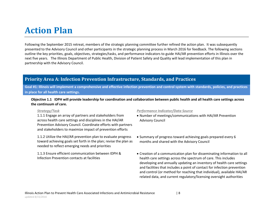# **Action Plan**

Following the September 2015 retreat, members of the strategic planning committee further refined the action plan. It was subsequently presented to the Advisory Council and other participants in the strategic planning process in March 2016 for feedback. The following sections outline the key priorities, goals, objectives, strategies/tasks, and performance indicators to guide HAI/AR prevention efforts in Illinois over the next five years. The Illinois Department of Public Health, Division of Patient Safety and Quality will lead implementation of this plan in partnership with the Advisory Council.

## **Priority Area A: Infection Prevention Infrastructure, Standards, and Practices**

<span id="page-7-0"></span>**Goal #1: Illinois will implement a comprehensive and effective infection prevention and control system with standards, policies, and practices in place for all health care settings.**

**Objective 1.1 IDPH will provide leadership for coordination and collaboration between public health and all health care settings across the continuum of care.**

1.1.1 Engage an array of partners and stakeholders from across health care settings and disciplines in the HAI/AR Prevention Advisory Council. Coordinate efforts with partners and stakeholders to maximize impact of prevention efforts

<span id="page-7-1"></span>1.1.2 Utilize the HAI/AR prevention plan to evaluate progress toward achieving goals set forth in the plan; revise the plan as needed to reflect emerging needs and priorities

<span id="page-7-2"></span>1.1.3 Ensure efficient communication between IDPH & Infection Prevention contacts at facilities

- Number of meetings/communications with HAI/AR Prevention Advisory Council
- Summary of progress toward achieving goals prepared every 6 months and shared with the Advisory Council
- Creation of a communication plan for disseminating information to all health care settings across the spectrum of care. This includes developing and annually updating an inventory of health care settings and facilities that includes a point of contact for infection prevention and control (or method for reaching that individual), available HAI/AR related data, and current regulatory/licensing oversight authorities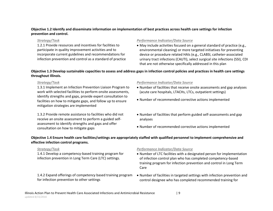### **Objective 1.2 Identify and disseminate information on implementation of best practices across health care settings for infection prevention and control.**

1.2.1 Provide resources and incentives for facilities to participate in quality improvement activities and to incorporate current guidelines and recommendations for infection prevention and control as a standard of practice

### *Strategy/Task Performance Indicator/Data Source*

 May include activities focused on a general standard of practice (e.g., environmental cleaning) or more targeted initiatives for preventing device or procedure related HAIs (e.g., CLABSI, catheter-associated urinary tract infections (CAUTI), select surgical site infections (SSI), CDI that are not otherwise specifically addressed in this plan

### **Objective 1.3 Develop sustainable capacities to assess and address gaps in infection control policies and practices in health care settings throughout Illinois.**

1.3.1 Implement an Infection Prevention Liaison Program to work with selected facilities to perform onsite assessments, identify strengths and gaps, provide expert consultation to facilities on how to mitigate gaps, and follow up to ensure mitigation strategies are implemented

1.3.2 Provide remote assistance to facilities who did not receive an onsite assessment to perform a guided selfassessment to identify strengths and gaps and offer consultation on how to mitigate gaps

### *Strategy/Task Performance Indicator/Data Source*

- Number of facilities that receive onsite assessments and gap analyses (acute care hospitals, LTACHs, LTCs, outpatient settings)
- Number of recommended corrective actions implemented
- Number of facilities that perform guided self-assessments and gap analyses
- Number of recommended corrective actions implemented

### **Objective 1.4 Ensure health care facilities/settings are appropriately staffed with qualified personnel to implement comprehensive and effective infection control programs.**

1.4.1 Develop a competency-based training program for infection prevention in Long Term Care (LTC) settings.

1.4.2 Expand offerings of competency based training program for infection prevention to other settings

- Number of LTC facilities with a designated person for implementation of infection control plan who has completed competency-based training program for infection prevention and control in Long Term Care
- Number of facilities in targeted settings with infection prevention and control designee who has completed recommended training for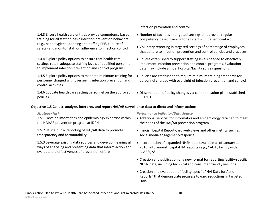1.4.3 Ensure health care entities provide competency based training for all staff on basic infection prevention behaviors (e.g., hand hygiene, donning and doffing PPE, culture of safety) and monitor staff on adherence to infection control

1.4.4 Explore policy options to ensure that health care settings retain adequate staffing levels of qualified personnel to implement infection prevention and control programs

1.4.5 Explore policy options to mandate minimum training for personnel charged with overseeing infection prevention and control activities

1.4.6 Educate health care setting personnel on the approved policies

### **Objective 1.5 Collect, analyze, interpret, and report HAI/AR surveillance data to direct and inform actions.**

1.5.1 Develop informatics and epidemiology expertise within the HAI/AR prevention program at IDPH

1.5.2 Utilize public reporting of HAI/AR data to promote transparency and accountability

1.5.3 Leverage existing data sources and develop meaningful ways of analyzing and presenting data that inform action and evaluate the effectiveness of prevention efforts

infection prevention and control

- Number of facilities in targeted settings that provide regular competency based training for all staff with patient contact
- Voluntary reporting in targeted settings of percentage of employees that adhere to infection prevention and control policies and practices
- Polices established to support staffing levels needed to effectively implement infection prevention and control programs. Evaluation data may include annual hospital/facility survey questions
- Policies are established to require minimum training standards for personnel charged with oversight of infection prevention and control
- Dissemination of policy changes via communication plan established in 1.1.3

- Additional services for informatics and epidemiology retained to meet the needs of the HAI/AR prevention program
- Illinois Hospital Report Card web views and other metrics such as social media engagement/response
- Incorporation of expanded NHSN data (available as of January 1, 2016) into annual hospital HAI reports (e.g., CAUTI, facility wide CLABSI, SSI).
- Creation and publication of a new format for reporting facility-specific NHSN data, including technical and consumer friendly versions.
- Creation and evaluation of facility-specific "HAI Data for Action Reports" that demonstrate progress toward reductions in targeted HAIs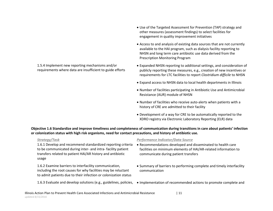1.5.4 Implement new reporting mechanisms and/or requirements where data are insufficient to guide efforts

- Use of the Targeted Assessment for Prevention (TAP) strategy and other measures (assessment findings) to select facilities for engagement in quality improvement initiatives
- Access to and analysis of existing data sources that are not currently available to the HAI program, such as dialysis facility reporting to NHSN and long term care antibiotic use data derived from the Prescription Monitoring Program
- Expanded NHSN reporting to additional settings, and consideration of publicly reporting these measures, e.g., creation of new incentives or requirements for LTC facilities to report *Clostridium difficile* to NHSN
- Expand access to NHSN data to local health departments in Illinois
- Number of facilities participating in Antibiotic Use and Antimicrobial Resistance (AUR) module of NHSN
- Number of facilities who receive auto-alerts when patients with a history of CRE are admitted to their facility
- Development of a way for CRE to be automatically reported to the XDRO registry via Electronic Laboratory Reporting (ELR) data

**Objective 1.6 Standardize and improve timeliness and completeness of communication during transitions in care about patients' infection or colonization status with high risk organisms, need for contact precautions, and history of antibiotic use.** 

1.6.1 Develop and recommend standardized reporting criteria to be communicated during inter- and intra- facility patient transfers related to patient HAI/AR history and antibiotic usage

1.6.2 Examine barriers to interfacility communication, including the root causes for why facilities may be reluctant to admit patients due to their infection or colonization status

- Recommendations developed and disseminated to health care facilities on minimum elements of HAI/AR-related information to communicate during patient transfers
- Summary of barriers to performing complete and timely interfacility communication
- 1.6.3 Evaluate and develop solutions (e.g., guidelines, policies, . Implementation of recommended actions to promote complete and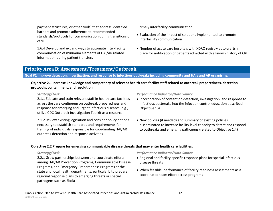payment structures, or other tools) that address identified barriers and promote adherence to recommended standards/protocols for communication during transitions of care

1.6.4 Develop and expand ways to automate inter-facility communication of minimum elements of HAI/AR related information during patient transfers

timely interfacility communication

- Evaluation of the impact of solutions implemented to promote interfacility communication
- Number of acute care hospitals with XDRO registry auto-alerts in place for notification of patients admitted with a known history of CRE

## **Priority Area B: Assessment/Treatment/Outbreak**

**Goal #2 Improve detection, investigation, and response to infectious outbreaks including community and HAIs and AR organisms.**

### **Objective 2.1 Increase knowledge and competency of relevant health care facility staff related to outbreak preparedness, detection protocols, containment, and resolution.**

2.1.1 Educate and train relevant staff in health care facilities across the care continuum on outbreak preparedness and response for emerging and urgent infectious diseases (e.g., utilize CDC Outbreak Investigation Toolkit as a resource)

<span id="page-11-0"></span>2.1.2 Review existing legislation and consider policy options necessary to establish standards and requirements for training of individuals responsible for coordinating HAI/AR outbreak detection and response activities

#### *Strategy/Task Performance Indicator/Data Source*

- Incorporation of content on detection, investigation, and response to infectious outbreaks into the infection control education described in Objective 1.4
- New policies (if needed) and summary of existing policies disseminated to increase facility level capacity to detect and respond to outbreaks and emerging pathogens (related to Objective 1.4)

### <span id="page-11-1"></span>**Objective 2.2 Prepare for emerging communicable disease threats that may enter health care facilities.**

2.2.1 Grow partnerships between and coordinate efforts among HAI/AR Prevention Programs, Communicable Disease Programs, and Emergency Preparedness Programs at the state and local health departments, particularly to prepare regional response plans to emerging threats or special pathogens such as Ebola

- Regional and facility-specific response plans for special infectious disease threats
- When feasible, performance of facility readiness assessments as a coordinated team effort across programs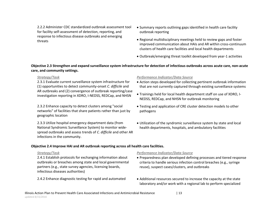2.2.2 Administer CDC standardized outbreak assessment tool for facility self-assessment of detection, reporting, and response to infectious disease outbreaks and emerging threats

- Summary reports outlining gaps identified in health care facility outbreak reporting
- Regional multidisciplinary meetings held to review gaps and foster improved communication about HAIs and AR within cross-continuum clusters of health care facilities and local health departments
- Outbreak/emerging threat toolkit developed from year-1 activities

### **Objective 2.3 Strengthen and expand surveillance system infrastructure for detection of infectious outbreaks across acute care, non-acute care, and community settings.**

2.3.1 Evaluate current surveillance system infrastructure for (1) opportunities to detect community-onset *C. difficile* and AR outbreaks and (2) convergence of outbreak reporting/case investigation reporting in XDRO, I-NEDSS, REDCap, and NHSN

2.3.2 Enhance capacity to detect clusters among "social networks" of facilities that share patients rather than just by geographic location

2.3.3 Utilize hospital emergency department data (from National Syndromic Surveillance System) to monitor widespread outbreaks and assess trends of *C. difficile* and other AR infections in the community.

#### *Strategy/Task Performance Indicator/Data Source*

- Action steps developed for collecting pertinent outbreak information that are not currently captured through existing surveillance systems
- Trainings held for local health department staff on use of XDRO, I-NEDSS, REDCap, and NHSN for outbreak monitoring
- Testing and application of CRE cluster detection models to other pathogens
- Utilization of the syndromic surveillance system by state and local health departments, hospitals, and ambulatory facilities

### **Objective 2.4 Improve HAI and AR outbreak reporting across all health care facilities.**

2.4.1 Establish protocols for exchanging information about outbreaks or breaches among state and local governmental partners (e.g., state survey agencies, licensing boards, infectious diseases authorities)

- Preparedness plan developed defining processes and tiered response criteria to handle serious infection control breaches (e.g., syringe reuse), suspect cases/clusters, and outbreaks
- 2.4.2 Enhance diagnostic testing for rapid and automated <br>
Additional resources secured to increase the capacity at the state laboratory and/or work with a regional lab to perform specialized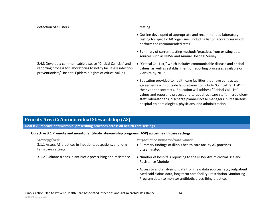detection of clusters testing

- Outline developed of appropriate and recommended laboratory testing for specific AR organisms, including list of laboratories which perform the recommended tests
- Summary of current testing methods/practices from existing data sources such as NHSN and Annual Hospital Survey
- "Critical Call List," which includes communicable disease and critical values, as well as establishment of reporting processes available on website by 2017
- Education provided to health care facilities that have contractual agreements with outside laboratories to include "Critical Call List" in their vendor contracts. Education will address "Critical Call List" values and reporting process and target direct care staff, microbiology staff, laboratorians, discharge planners/case managers, nurse liaisons, hospital epidemiologists, physicians, and administration

## **Priority Area C: Antimicrobial Stewardship (AS)**

2.4.3 Develop a communicable disease "Critical Call List" and reporting process for laboratories to notify facilities/ infection preventionists/ Hospital Epidemiologists of critical values

**Goal #3: Improve antimicrobial prescribing practices across all health care settings.**

#### **Objective 3.1 Promote and monitor antibiotic stewardship programs (ASP) across health care settings.**

3.1.1 Assess AS practices in inpatient, outpatient, and long term care settings

- Summary findings of Illinois health care facility AS practices disseminated
- <span id="page-13-1"></span><span id="page-13-0"></span>3.1.2 Evaluate trends in antibiotic prescribing and resistance . Number of hospitals reporting to the NHSN Antimicrobial Use and Resistance Module
	- Access to and analysis of data from new data sources (e.g., outpatient Medicaid claims data, long term care facility Prescription Monitoring Program data) to monitor antibiotic prescribing practices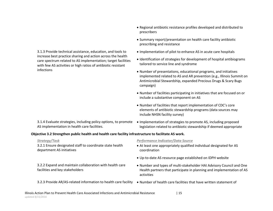3.1.3 Provide technical assistance, education, and tools to increase best practice sharing and action across the health care spectrum related to AS implementation; target facilities with few AS activities or high ratios of antibiotic resistant infections

3.1.4 Evaluate strategies, including policy options, to promote AS implementation in health care facilities.

- Regional antibiotic resistance profiles developed and distributed to prescribers
- Summary report/presentation on health care facility antibiotic prescribing and resistance
- Implementation of pilot to enhance AS in acute care hospitals
- Identification of strategies for development of hospital antibiograms tailored to service line and syndrome
- Number of presentations, educational programs, and initiatives implemented related to AS and AR prevention (e.g., Illinois Summit on Antimicrobial Stewardship, expanded Precious Drugs & Scary Bugs campaign)
- Number of facilities participating in initiatives that are focused on or include a substantive component on AS
- Number of facilities that report implementation of CDC's core elements of antibiotic stewardship programs (data sources may include NHSN facility survey)
- Implementation of strategies to promote AS, including proposed legislation related to antibiotic stewardship if deemed appropriate

### **Objective 3.2 Strengthen public health and health care facility infrastructure to facilitate AS work.**

3.2.1 Ensure designated staff to coordinate state health department AS initiatives

3.2.2 Expand and maintain collaboration with health care facilities and key stakeholders

- At least one appropriately qualified individual designated for AS coordination
- Up-to-date AS resource page established on IDPH website
- Number and types of multi-stakeholder HAI Advisory Council and One Health partners that participate in planning and implementation of AS activities
- 3.2.3 Provide AR/AS-related information to health care facility  $\bullet$  Number of health care facilities that have written statement of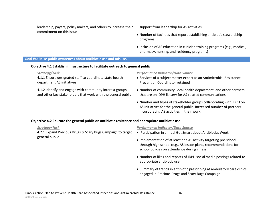leadership, payers, policy makers, and others to increase their commitment on this issue

support from leadership for AS activities

- Number of facilities that report establishing antibiotic stewardship programs
- Inclusion of AS education in clinician training programs (e.g., medical, pharmacy, nursing, and residency programs)

#### **Goal #4: Raise public awareness about antibiotic use and misuse.**

#### **Objective 4.1 Establish infrastructure to facilitate outreach to general public.**

4.1.1 Ensure designated staff to coordinate state health department AS initiatives

4.1.2 Identify and engage with community interest groups and other key stakeholders that work with the general public

#### *Strategy/Task Performance Indicator/Data Source*

- Services of a subject matter expert as an Antimicrobial Resistance Prevention Coordinator retained
- Number of community, local health department, and other partners that are on IDPH listserv for AS-related communications
- Number and types of stakeholder groups collaborating with IDPH on AS initiatives for the general public. Increased number of partners incorporating AS activities in their work.

#### <span id="page-15-0"></span>**Objective 4.2 Educate the general public on antibiotic resistance and appropriate antibiotic use.**

4.2.1 Expand Precious Drugs & Scary Bugs Campaign to target general public

- Participation in annual Get Smart about Antibiotics Week
- Implementation of at least one AS activity targeting pre-school through high school (e.g., AS lesson plans, recommendations for school policies on attendance during illness)
- Number of likes and reposts of IDPH social media postings related to appropriate antibiotic use
- Summary of trends in antibiotic prescribing at ambulatory care clinics engaged in Precious Drugs and Scary Bugs Campaign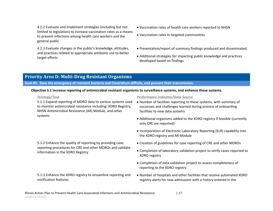4.2.2 Evaluate and implement strategies (including but not limited to legislation) to increase vaccination rates as a means to prevent infections among health care workers and the general public

4.2.3 Evaluate changes in the public's knowledge, attitudes, and practices related to appropriate antibiotic use to better target efforts

- Vaccination rates of health care workers reported to NHSN
- Vaccination rates in targeted communities
- Presentation/report of summary findings produced and disseminated.
- Additional strategies for impacting public knowledge and practices developed based on findings

## **Priority Area D: Multi-Drug Resistant Organisms**

**Goal #5: Slow the emergence of resistant bacteria and Clostridium difficile, and prevent their transmission.**

#### **Objective 5.1 Increase reporting of antimicrobial resistant organisms to surveillance systems, and enhance those systems.**

notification features

5.1.1 Expand reporting of MDRO data to various systems used to monitor antimicrobial resistance including: XDRO Registry, NHSN Antimicrobial Resistance (AR) Module, and other systems

<span id="page-16-1"></span><span id="page-16-0"></span>5.1.2 Enhance the quality of reporting by providing casereporting procedures for CRE and other MDROs and validate information in the XDRO Registry

5.1.3 Enhance the XDRO registry to streamline reporting and

- Number of facilities reporting to these systems, with summary of successes and challenges learned during process of onboarding facilities to new data systems
- Additional organisms added to the XDRO registry if feasible (currently only CRE are reported)
- Incorporation of Electronic Laboratory Reporting (ELR) capability into the XDRO registry and AR Module
- Creation of guidelines for case reporting of CRE and other MDROs
- Completion of laboratory validation project to verify cases reported to XDRO registry
- Completion of data validation project to assess completeness of reporting to the XDRO registry
- Number of hospitals and other facilities that receive automated XDRO registry alerts for new admissions with a history entered in the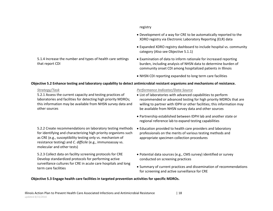5.1.4 Increase the number and types of health care settings that report CDI

### registry

- Development of a way for CRE to be automatically reported to the XDRO registry via Electronic Laboratory Reporting (ELR) data
- Expanded XDRO registry dashboard to include hospital vs. community category (Also see Objective 5.1.1)
- Examination of data to inform rationale for increased reporting burden, including analysis of NHSN data to determine burden of community onset CDI among hospitalized patients in Illinois
- NHSN CDI reporting expanded to long term care facilities

### **Objective 5.2 Enhance testing and laboratory capability to detect antimicrobial resistant organisms and mechanisms of resistance.**

5.2.1 Assess the current capacity and testing practices of laboratories and facilities for detecting high priority MDROs; this information may be available from NHSN survey data and other sources

5.2.2 Create recommendations on laboratory testing methods for identifying and characterizing high priority organisms such as CRE (e.g., susceptibility testing only vs. mechanism of resistance testing) and *C. difficile* (e.g., immunoassay vs. molecular and other tests)

5.2.3 Collect data on facility screening protocols for CRE Develop standardized protocols for performing active surveillance cultures for CRE in acute care hospitals and long term care facilities

### *Strategy/Task Performance Indicator/Data Source*

- List of laboratories with advanced capabilities to perform recommended or advanced testing for high priority MDROs that are willing to partner with IDPH or other facilities; this information may be available from NHSN survey data and other sources
- Partnership established between IDPH lab and another state or regional reference lab to expand testing capabilities
- Education provided to health care providers and laboratory professionals on the merits of various testing methods and appropriate specimen collection procedures
- Potential data sources (e.g., CMS survey) identified or survey conducted on screening practices
- Summary of current practices and dissemination of recommendations for screening and active surveillance for CRE

## **Objective 5.3 Engage health care facilities in targeted prevention activities for specific MDROs.**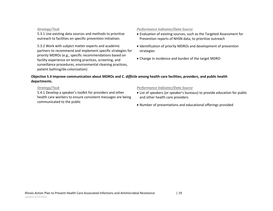5.3.1 Use existing data sources and methods to prioritize outreach to facilities on specific prevention initiatives

5.3.2 Work with subject matter experts and academic partners to recommend and implement specific strategies for priority MDROs (e.g., specific recommendations based on facility experience on testing practices, screening, and surveillance procedures, environmental cleaning practices, patient bathing/de-colonization)

### *Strategy/Task Performance Indicator/Data Source*

- Evaluation of existing sources, such as the Targeted Assessment for Prevention reports of NHSN data, to prioritize outreach
- Identification of priority MDROs and development of prevention strategies
- Change in incidence and burden of the target MDRO

### **Objective 5.4 Improve communication about MDROs and** *C. difficile* **among health care facilities, providers, and public health departments.**

5.4.1 Develop a speaker's toolkit for providers and other health care workers to ensure consistent messages are being communicated to the public

- List of speakers (or speaker's bureaus) to provide education for public and other health care providers
- Number of presentations and educational offerings provided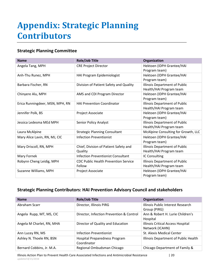# <span id="page-19-0"></span>**Appendix: Strategic Planning Contributors**

## **Strategic Planning Committee**

| <b>Name</b>                     | <b>Role/Job Title</b>                                 | Organization                                                    |
|---------------------------------|-------------------------------------------------------|-----------------------------------------------------------------|
| Angela Tang, MPH                | <b>CRE Project Director</b>                           | Hektoen (IDPH Grantee/HAI<br>Program team)                      |
| Anh-Thu Runez, MPH              | HAI Program Epidemiologist                            | Hektoen (IDPH Grantee/HAI<br>Program team)                      |
| Barbara Fischer, RN             | Division of Patient Safety and Quality                | <b>Illinois Department of Public</b><br>Health/HAI Program team |
| Chinyere Alu, MPH               | AMS and CDI Program Director                          | Hektoen (IDPH Grantee/HAI<br>Program team)                      |
| Erica Runningdeer, MSN, MPH, RN | <b>HAI Prevention Coordinator</b>                     | Illinois Department of Public<br>Health/HAI Program team        |
| Jennifer Polk, BS               | Project Associate                                     | Hektoen (IDPH Grantee/HAI<br>Program team)                      |
| Jessica Ledesma MEd MPH         | Senior Policy Analyst                                 | Illinois Department of Public<br>Health/HAI Program team        |
| Laura McAlpine                  | <b>Strategic Planning Consultant</b>                  | McAlpine Consulting for Growth, LLC                             |
| Mary Alice Lavin, RN, MJ, CIC   | <b>Infection Preventionist</b>                        | Hektoen (IDPH Grantee/HAI<br>Program team)                      |
| Mary Driscoll, RN, MPH          | Chief, Division of Patient Safety and<br>Quality      | Illinois Department of Public<br>Health/HAI Program team        |
| Mary Fornek                     | <b>Infection Preventionist Consultant</b>             | IC Consulting                                                   |
| Robynn Cheng Leidig, MPH        | <b>CDC Public Health Prevention Service</b><br>Fellow | Illinois Department of Public<br>Health/HAI Program team        |
| Suzanne Williams, MPH           | Project Associate                                     | Hektoen (IDPH Grantee/HAI<br>Program team)                      |

## **Strategic Planning Contributors: HAI Prevention Advisory Council and stakeholders**

| <b>Name</b>               | <b>Role/Job Title</b>                        | Organization                                         |
|---------------------------|----------------------------------------------|------------------------------------------------------|
| Abraham Scarr             | Director, Illinois PIRG                      | Illinois Public Interest Research<br>Group (PIRG)    |
| Angela Rupp, MT, MS, CIC  | Director, Infection Prevention & Control     | Ann & Robert H. Lurie Children's<br>Hospital         |
| Angela M Charlet, RN, MHA | Director of Quality and Education            | Illinois Critical Access Hospital<br>Network (ICAHN) |
| Ann Lucey RN, MS          | <b>Infection Preventionist</b>               | St. Alexis Medical Center                            |
| Ashley N. Thoele RN, BSN  | Hospital Preparedness Program<br>Coordinator | Illinois Department of Public Health                 |
| Bernard Cobbins, Jr. M.A. | Regional Ombudsman Chicago                   | Chicago Department of Family &                       |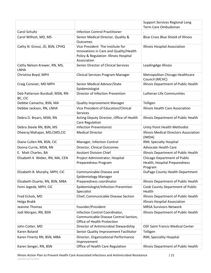|                                             |                                                                                                                                    | <b>Support Services Regional Long</b>                                           |  |
|---------------------------------------------|------------------------------------------------------------------------------------------------------------------------------------|---------------------------------------------------------------------------------|--|
|                                             |                                                                                                                                    | Term Care Ombudsman                                                             |  |
| Carol Schultz                               | <b>Infection Control Practitioner</b>                                                                                              |                                                                                 |  |
| Carol Wilhoit, MD, MS                       | Senior Medical Director, Quality &<br><b>Outcomes</b>                                                                              | <b>Blue Cross Blue Shield of Illinois</b>                                       |  |
| Cathy N. Grossi, JD, BSN, CPHQ              | Vice President The Institute for<br>Innovations in Care and Quality/Health<br>Policy & Regulation Illinois Hospital<br>Association | Illinois Hospital Association                                                   |  |
| Cathy Nelson Krewer, RN, MS,<br><b>LNHA</b> | Senior Director of Clinical Services                                                                                               | LeadingAge Illinois                                                             |  |
| Christina Boyd, MPH                         | <b>Clinical Services Program Manager</b>                                                                                           | Metropolitan Chicago Healthcare<br>Council (MCHC)                               |  |
| Craig Conover, MD MPH                       | Senior Medical Advisor/State<br>Epidemiologist                                                                                     | Illinois Department of Public Health                                            |  |
| Deb Patterson Burdsall, MSN, RN-<br>BC, CIC | Director of Infection Prevention                                                                                                   | Lutheran Life Communities                                                       |  |
| Debbie Camacho, BSN, MA                     | <b>Quality Improvement Manager</b>                                                                                                 | Telligen                                                                        |  |
| Debbie Jackson, RN, LNHA                    | Vice President of Education/Clinical<br><b>Services</b>                                                                            | Illinois Health Care Association                                                |  |
| Debra D. Bryars, MSN, RN                    | Acting Deputy Director, Office of Health<br>Care Regulation                                                                        | Illinois Department of Public Health                                            |  |
| Debra Steele RN, BSN, MS                    | <b>Infection Preventionist</b>                                                                                                     | Unity Point Health Methodist                                                    |  |
| Dheeraj Mahajan, MD, CMD, CIC               | <b>Medical Director</b>                                                                                                            | <b>Illinois Medical Directors Association</b><br>(IMDA)                         |  |
| Diane Cullen RN, BSN, CIC                   | Manager, Infection Control                                                                                                         | <b>RML Specialty Hospital</b>                                                   |  |
| Donna Currie, MSN, RN                       | Director, Clinical Outcomes                                                                                                        | <b>Advocate Health Care</b>                                                     |  |
| E. Matt Charles, BA                         | <b>Assitant Division Chief</b>                                                                                                     | Illinois Department of Public Health                                            |  |
| Elisabeth K Weber, RN, MA, CEN              | Project Administrator, Hospital<br>Preparedness Program                                                                            | <b>Chicago Department of Public</b><br>Health, Hospital Preparedness<br>Program |  |
| Elizabeth B. Murphy, MPH, CIC               | Communicable Disease and<br><b>Epidemiology Manager</b>                                                                            | DuPage County Health Department                                                 |  |
| Elizabeth Duarte, RN, BSN, MBA              | Preparedness coordinator                                                                                                           | Illinois Department of Public Health                                            |  |
| Femi Jegede, MPH, CIC                       | Epidemiologist/Infection Prevention<br>Specialist                                                                                  | Cook County Department of Public<br>Health                                      |  |
| Fred Echols, MD                             | Chief, Communicable Disease Section                                                                                                | Illinois Department of Public Health                                            |  |
| Helga Brakk                                 |                                                                                                                                    | Illinois Hospital Association                                                   |  |
| Jeanine Thomas                              | Founder/President                                                                                                                  | <b>MRSA Survivors Network</b>                                                   |  |
| Jodi Morgan, RN, BSN                        | Infection Control Coordinator,<br>Communicable Disease Control Section,<br>Office of Health Protection                             | Illinois Department of Public Health                                            |  |
| John Cotter, MD                             | Director of Antimicrobial Stewardship                                                                                              | <b>OSF Saint Francis Medical Center</b>                                         |  |
| Karen Boland                                | Senior Quality Improvement Facilitator                                                                                             | Telligen                                                                        |  |
| Karen Finerty RN, BSN, MBA                  | Director, Organizational Performance<br>Improvement                                                                                | <b>RML Speciality Hospital</b>                                                  |  |
| Karen Senger, RN, BSN                       | Office of Health Care Regulation                                                                                                   | Illinois Department of Public Health                                            |  |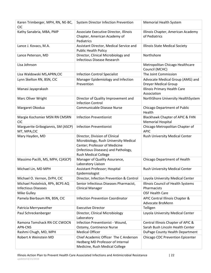| Karen Trimberger, MPH, RN, NE-BC,<br><b>CIC</b>                | System Director Infection Prevention                                                                                                                                            | Memorial Health System                                                 |
|----------------------------------------------------------------|---------------------------------------------------------------------------------------------------------------------------------------------------------------------------------|------------------------------------------------------------------------|
| Kathy Sanabria, MBA, PMP                                       | Associate Executive Director, Illinois<br>Chapter, American Academy of<br>Pediatrics                                                                                            | Illinois Chapter, American Academy<br>of Pediatrics                    |
| Lance J. Kovacs, M.A.                                          | Assistant Director, Medical Service and<br><b>Public Health Policy</b>                                                                                                          | Illinois State Medical Society                                         |
| Lance Peterson, MD                                             | Director, Clinical Microbiology and<br><b>Infectious Disease Research</b>                                                                                                       | Northshore                                                             |
| Lisa Johnson                                                   |                                                                                                                                                                                 | Metropolitan Chicago Healthcare<br>Council (MCHC)                      |
| Lisa Waldowski MS, APRN, CIC                                   | <b>Infection Control Specialist</b>                                                                                                                                             | The Joint Commission                                                   |
| Lynn Skelton RN, BSN, CIC                                      | Manager Epidemiology and Infection<br>Prevention                                                                                                                                | Advocate Medical Group (AMG) and<br><b>Dreyer Medical Group</b>        |
| Manasi Jayaprakash                                             |                                                                                                                                                                                 | <b>Illinois Primary Health Care</b><br>Association                     |
| Marc Oliver Wright                                             | Director of Quality Improvement and<br><b>Infection Control</b>                                                                                                                 | NorthShore University HealthSystem                                     |
| Margaret Okodua                                                | <b>Communicable Disease Nurse</b>                                                                                                                                               | <b>Chicago Department of Public</b><br>Health                          |
| Margie Kochsmier MSN RN CMSRN<br><b>CIC</b>                    | <b>Infection Preventionist</b>                                                                                                                                                  | Blackhawk Chapter of APIC & FHN<br><b>Memorial Hospital</b>            |
| Marguerite Gribogiannis, SM (ASCP)<br>MT, MPA, CIC             | <b>Infection Preventionist</b>                                                                                                                                                  | Chicago Metropolitan Chapter of<br><b>APIC</b>                         |
| Mary Hayden, MD                                                | Director, Division of Clinical<br>Microbiology, Rush University Medical<br>Center; Professor of Medicine<br>(Infectious Diseases) and Pathology,<br><b>Rush Medical College</b> | Rush University Medical Center                                         |
| Massimo Pacilli, MS, MPH, C(ASCP)                              | Manager of Quality Assurance,<br>Laboratory Liaison                                                                                                                             | Chicago Department of Health                                           |
| Michael Lin, MD MPH                                            | Assistant Professor; Hospital<br>Epidemiologist                                                                                                                                 | Rush University Medical Center                                         |
| Michael O. Vernon, DrPH, CIC                                   | Director, Infection Prevention & Control                                                                                                                                        | Loyola University Medical Center                                       |
| Michael Postelnick, RPh, BCPS AQ<br><b>Infectious Diseases</b> | Senior Infectious Diseases Pharmacist,<br><b>Clinical Manager</b>                                                                                                               | Illinois Council of Health Systems<br>Pharmacists                      |
| Mike Gulley                                                    |                                                                                                                                                                                 | <b>OSF Health Care</b>                                                 |
| Pamela Bierbaum RN, BSN, CIC                                   | <b>Infection Prevention Coordinator</b>                                                                                                                                         | APIC Central Illinois Chapter &<br>Advocate BroMenn                    |
| Patricia Merryweather                                          | <b>Executive Director</b>                                                                                                                                                       | Telligen                                                               |
| Paul Schreckenberger                                           | Director, Clinical Microbiology<br>Laboratory                                                                                                                                   | Loyola University Medical Center                                       |
| Ramona Tomshack RN CIC CWOCN<br><b>APN-CNS</b>                 | Infection Preventionist - Wound,<br>Ostomy, Continence Nurse                                                                                                                    | Central Illinois Chapter of APIC &<br>Sarah Bush Lincoln Health Center |
| Rashmi Chugh, MD, MPH                                          | <b>Medical Officer</b>                                                                                                                                                          | DuPage County Health Department                                        |
| Robert A Weinstein MD                                          | Chief Academic Officer The C Anderson<br>Hedberg MD Professor of Internal<br>Medicine, Rush Medical College                                                                     | Chicago CDC Prevention Epicenter                                       |